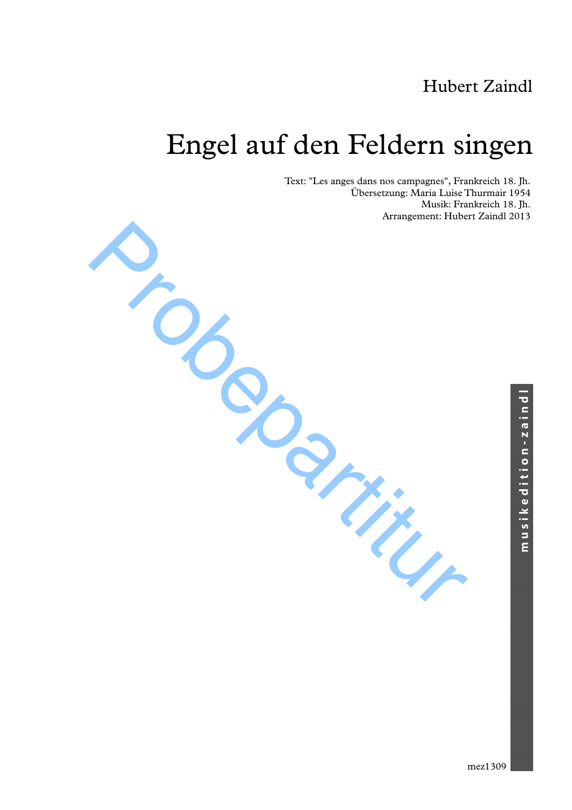## Hubert Zaindl

# Engel auf den Feldern singen

i Obertitur

Text: "Les anges dans nos campagnes", Frankreich 18. Jh. Übersetzung: Maria Luise Thurmair 1954 Musik: Frankreich 18. Jh. Arrangement: Hubert Zaindl 2013

mez1309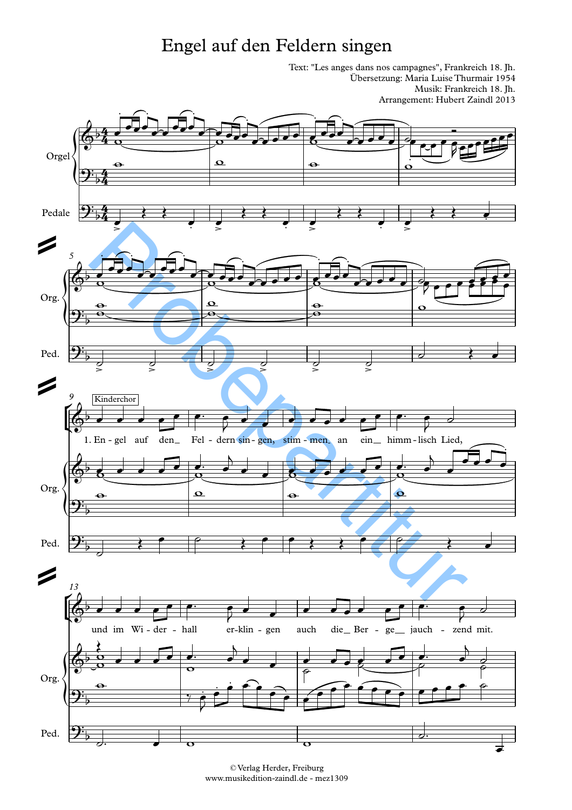### Engel auf den Feldern singen

Text: "Les anges dans nos campagnes", Frankreich 18. Jh. Übersetzung: Maria Luise Thurmair 1954 Musik: Frankreich 18. Jh.

Arrangement: Hubert Zaindl 2013



© Verlag Herder, Freiburg www.musikedition-zaindl.de - mez1309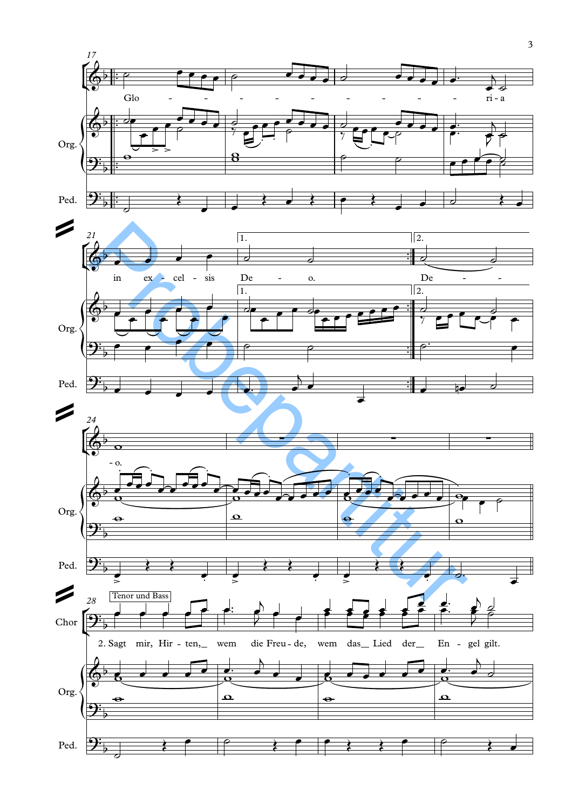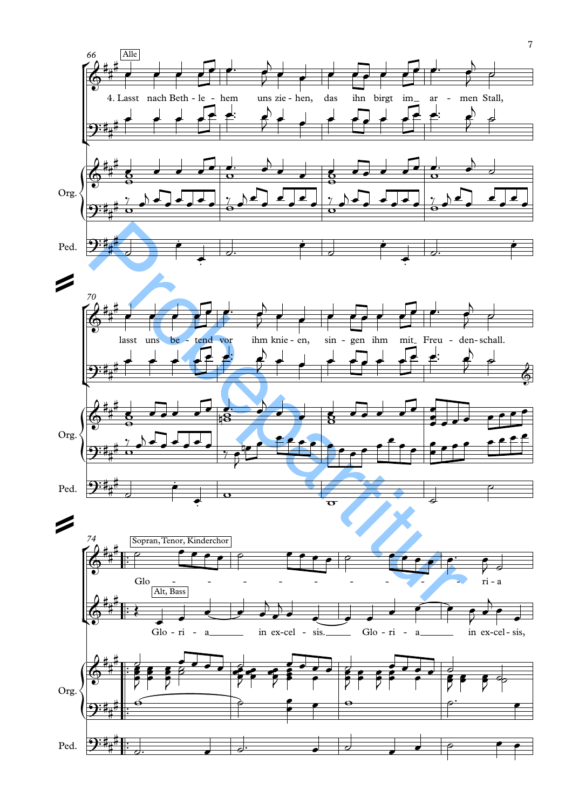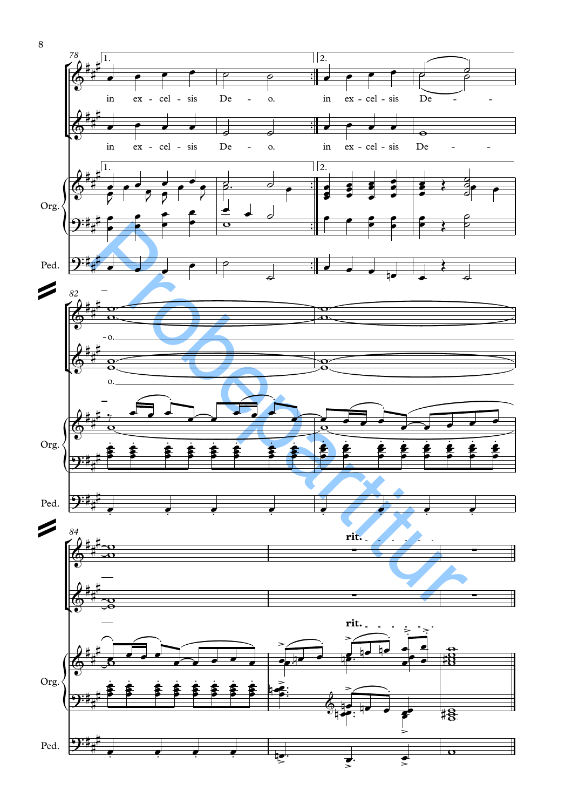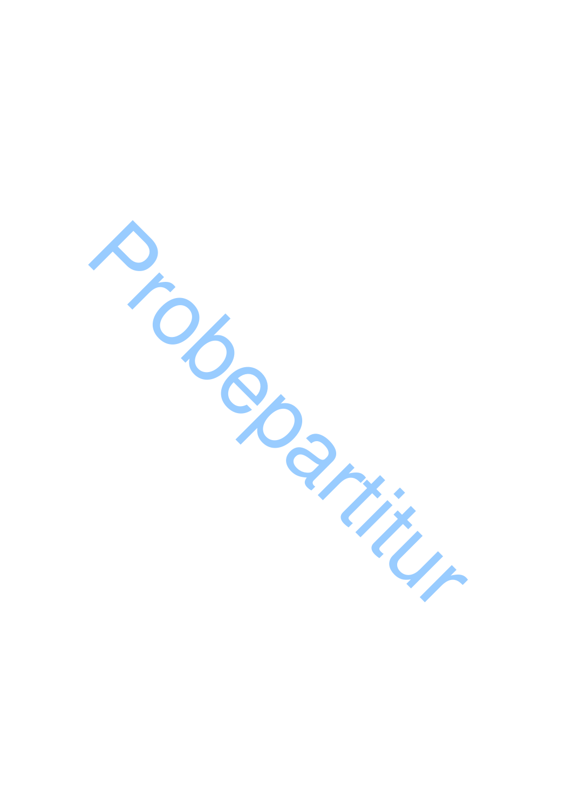**Probentitur**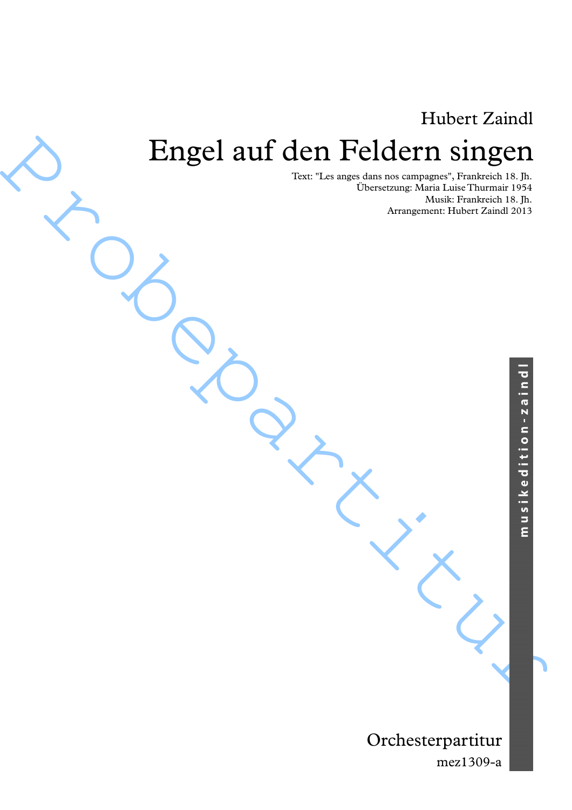## Hubert Zaindl

# Probes auf den Feldern singen<br>
Ein der Teiler auf den Feldern singen<br>
Ein der Teiler auf den Feldern singen<br>
Ein der Teiler auf den Feldern singen<br>
Ein der Teiler auf der Teiler auf der Teiler auf dem Feldern singen der Te Engel auf den Feldern singen

Text: "Les anges dans nos campagnes", Frankreich 18. Jh. Übersetzung: Maria Luise Thurmair 1954 Musik: Frankreich 18. Jh. Arrangement: Hubert Zaindl 2013

### mez1309-a Orchesterpartitur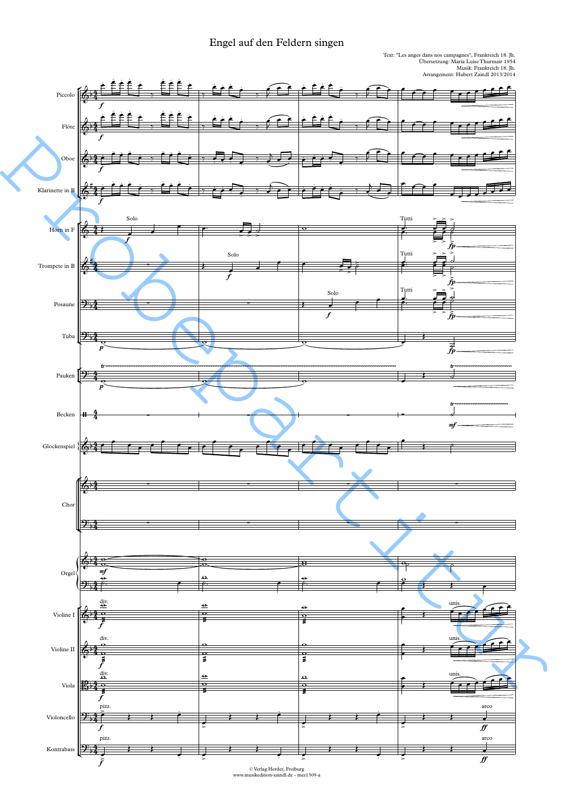### Engel auf den Feldern singen

Text: "Les anges dans nos campagnes", Frankreich 18. Jh. Übersetzung: Maria Luise Thurmair 1954 Musik: Frankreich 18. Jh. Arrangement: Hubert Zaindl 2013/2014

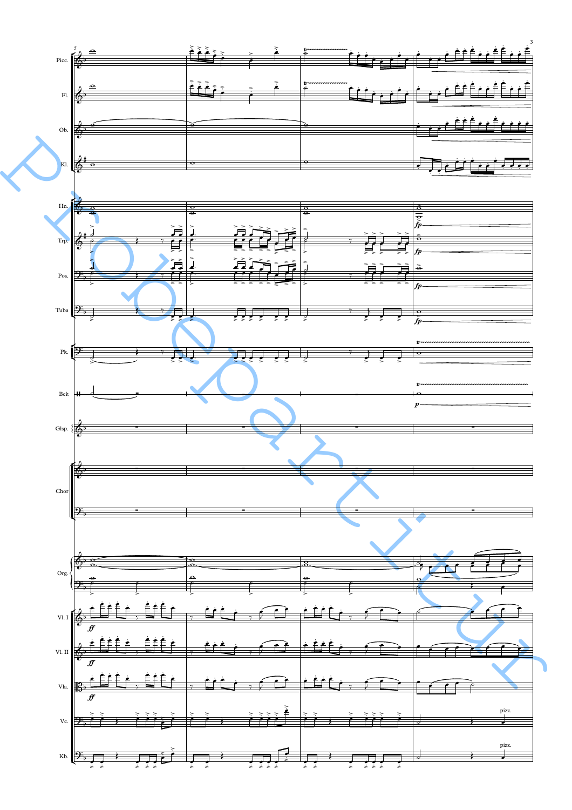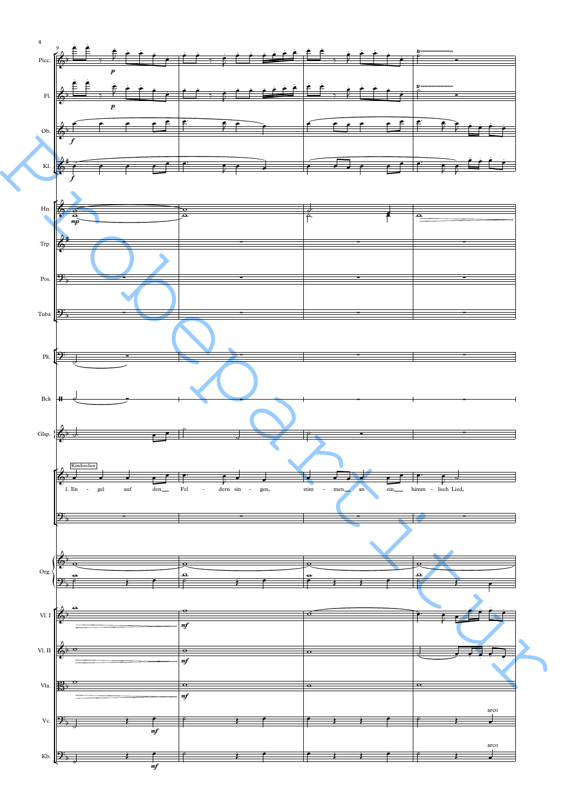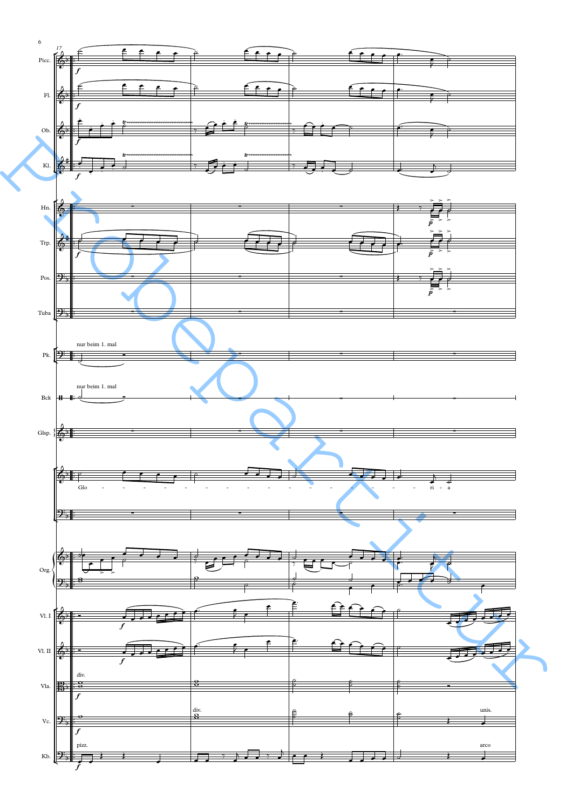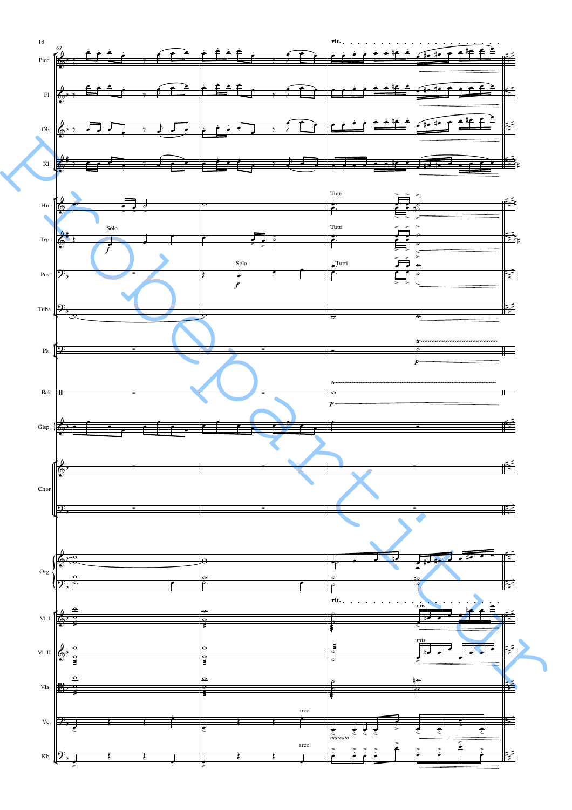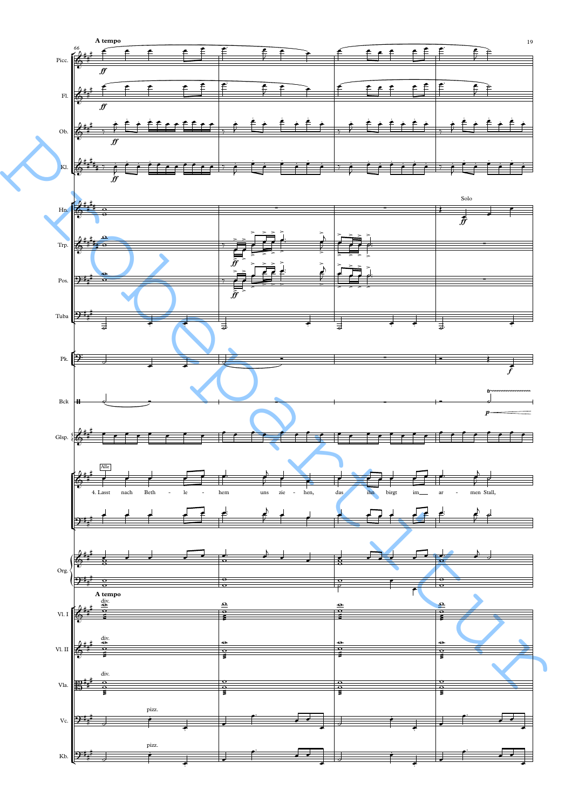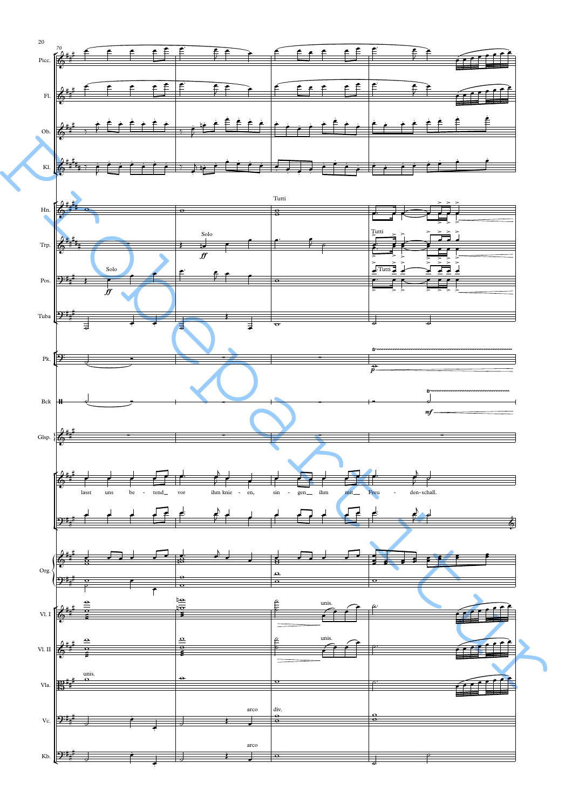